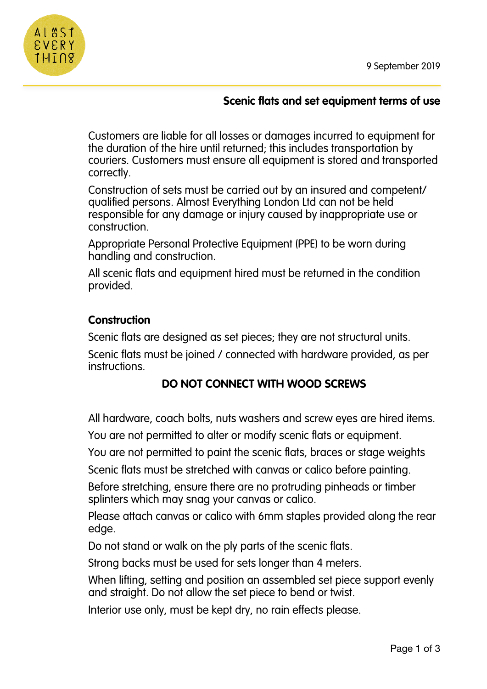

## **Scenic flats and set equipment terms of use**

Customers are liable for all losses or damages incurred to equipment for the duration of the hire until returned; this includes transportation by couriers. Customers must ensure all equipment is stored and transported correctly.

Construction of sets must be carried out by an insured and competent/ qualified persons. Almost Everything London Ltd can not be held responsible for any damage or injury caused by inappropriate use or construction.

Appropriate Personal Protective Equipment (PPE) to be worn during handling and construction.

All scenic flats and equipment hired must be returned in the condition provided.

## **Construction**

Scenic flats are designed as set pieces; they are not structural units.

Scenic flats must be joined / connected with hardware provided, as per instructions.

# **DO NOT CONNECT WITH WOOD SCREWS**

All hardware, coach bolts, nuts washers and screw eyes are hired items.

You are not permitted to alter or modify scenic flats or equipment.

You are not permitted to paint the scenic flats, braces or stage weights

Scenic flats must be stretched with canvas or calico before painting.

Before stretching, ensure there are no protruding pinheads or timber splinters which may snag your canvas or calico.

Please attach canvas or calico with 6mm staples provided along the rear edge.

Do not stand or walk on the ply parts of the scenic flats.

Strong backs must be used for sets longer than 4 meters.

When lifting, setting and position an assembled set piece support evenly and straight. Do not allow the set piece to bend or twist.

Interior use only, must be kept dry, no rain effects please.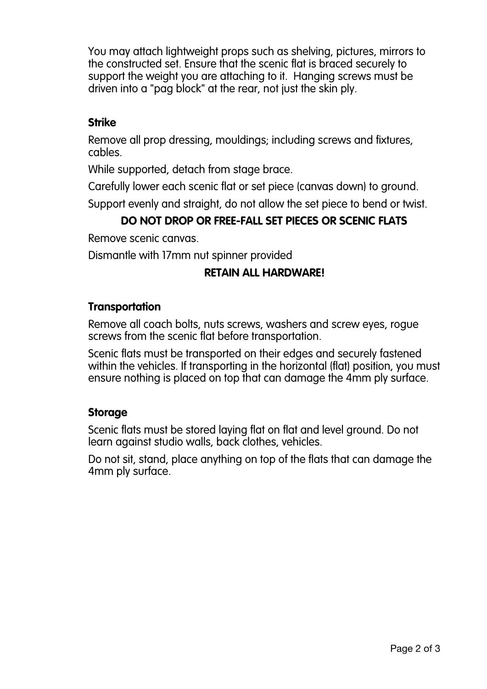You may attach lightweight props such as shelving, pictures, mirrors to the constructed set. Ensure that the scenic flat is braced securely to support the weight you are attaching to it. Hanging screws must be driven into a "pag block" at the rear, not just the skin ply.

#### **Strike**

Remove all prop dressing, mouldings; including screws and fixtures, cables.

While supported, detach from stage brace.

Carefully lower each scenic flat or set piece (canvas down) to ground.

Support evenly and straight, do not allow the set piece to bend or twist.

# **DO NOT DROP OR FREE-FALL SET PIECES OR SCENIC FLATS**

Remove scenic canvas.

Dismantle with 17mm nut spinner provided

## **RETAIN ALL HARDWARE!**

#### **Transportation**

Remove all coach bolts, nuts screws, washers and screw eyes, rogue screws from the scenic flat before transportation.

Scenic flats must be transported on their edges and securely fastened within the vehicles. If transporting in the horizontal (flat) position, you must ensure nothing is placed on top that can damage the 4mm ply surface.

## **Storage**

Scenic flats must be stored laying flat on flat and level ground. Do not learn against studio walls, back clothes, vehicles.

Do not sit, stand, place anything on top of the flats that can damage the 4mm ply surface.